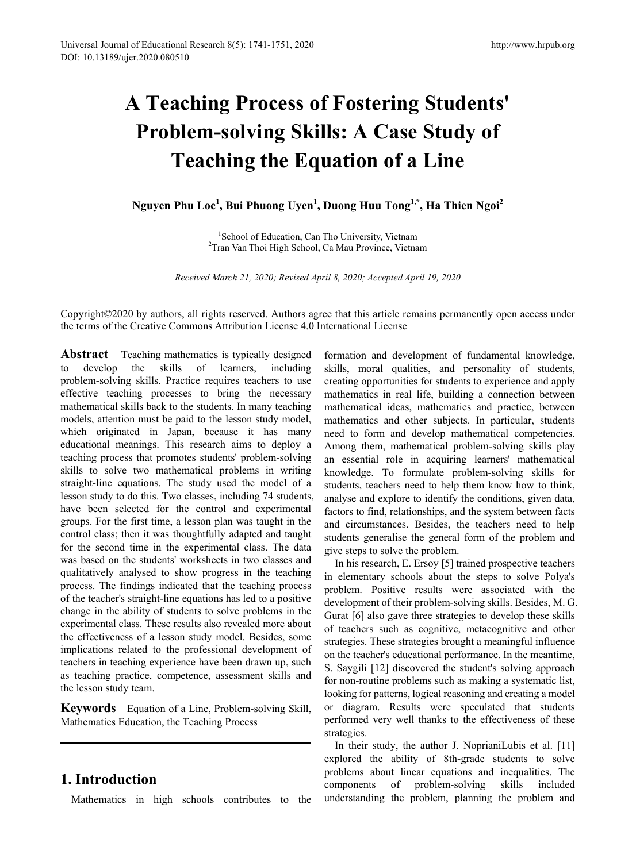# **A Teaching Process of Fostering Students' Problem-solving Skills: A Case Study of Teaching the Equation of a Line**

**Nguyen Phu Loc<sup>1</sup> , Bui Phuong Uyen<sup>1</sup> , Duong Huu Tong1,\*, Ha Thien Ngoi2** 

<sup>1</sup>School of Education. Can Tho University. Vietnam School of Education, Can Tho University, Vietnam <sup>2</sup> Tran Van Thoi High School, Ca Mau Province, Vietnam

*Received March 21, 2020; Revised April 8, 2020; Accepted April 19, 2020*

Copyright©2020 by authors, all rights reserved. Authors agree that this article remains permanently open access under the terms of the Creative Commons Attribution License 4.0 International License

**Abstract** Teaching mathematics is typically designed to develop the skills of learners, including problem-solving skills. Practice requires teachers to use effective teaching processes to bring the necessary mathematical skills back to the students. In many teaching models, attention must be paid to the lesson study model, which originated in Japan, because it has many educational meanings. This research aims to deploy a teaching process that promotes students' problem-solving skills to solve two mathematical problems in writing straight-line equations. The study used the model of a lesson study to do this. Two classes, including 74 students, have been selected for the control and experimental groups. For the first time, a lesson plan was taught in the control class; then it was thoughtfully adapted and taught for the second time in the experimental class. The data was based on the students' worksheets in two classes and qualitatively analysed to show progress in the teaching process. The findings indicated that the teaching process of the teacher's straight-line equations has led to a positive change in the ability of students to solve problems in the experimental class. These results also revealed more about the effectiveness of a lesson study model. Besides, some implications related to the professional development of teachers in teaching experience have been drawn up, such as teaching practice, competence, assessment skills and the lesson study team.

**Keywords** Equation of a Line, Problem-solving Skill, Mathematics Education, the Teaching Process

# **1. Introduction**

Mathematics in high schools contributes to the

formation and development of fundamental knowledge, skills, moral qualities, and personality of students, creating opportunities for students to experience and apply mathematics in real life, building a connection between mathematical ideas, mathematics and practice, between mathematics and other subjects. In particular, students need to form and develop mathematical competencies. Among them, mathematical problem-solving skills play an essential role in acquiring learners' mathematical knowledge. To formulate problem-solving skills for students, teachers need to help them know how to think, analyse and explore to identify the conditions, given data, factors to find, relationships, and the system between facts and circumstances. Besides, the teachers need to help students generalise the general form of the problem and give steps to solve the problem.

In his research, E. Ersoy [5] trained prospective teachers in elementary schools about the steps to solve Polya's problem. Positive results were associated with the development of their problem-solving skills. Besides, M. G. Gurat [6] also gave three strategies to develop these skills of teachers such as cognitive, metacognitive and other strategies. These strategies brought a meaningful influence on the teacher's educational performance. In the meantime, S. Saygili [12] discovered the student's solving approach for non-routine problems such as making a systematic list, looking for patterns, logical reasoning and creating a model or diagram. Results were speculated that students performed very well thanks to the effectiveness of these strategies.

In their study, the author J. NoprianiLubis et al. [11] explored the ability of 8th-grade students to solve problems about linear equations and inequalities. The components of problem-solving skills included understanding the problem, planning the problem and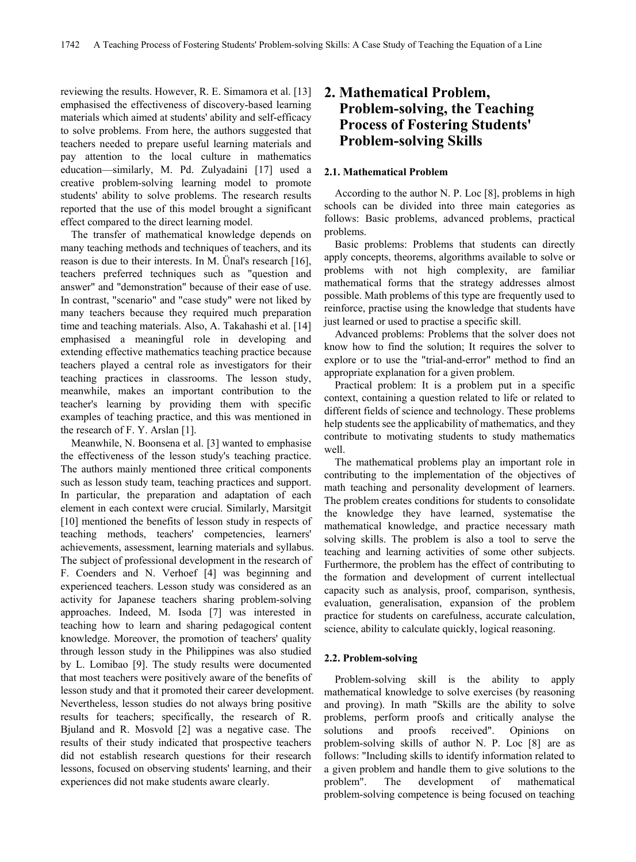reviewing the results. However, R. E. Simamora et al. [13] emphasised the effectiveness of discovery-based learning materials which aimed at students' ability and self-efficacy to solve problems. From here, the authors suggested that teachers needed to prepare useful learning materials and pay attention to the local culture in mathematics education—similarly, M. Pd. Zulyadaini [17] used a creative problem-solving learning model to promote students' ability to solve problems. The research results reported that the use of this model brought a significant effect compared to the direct learning model.

The transfer of mathematical knowledge depends on many teaching methods and techniques of teachers, and its reason is due to their interests. In M. Ünal's research [16], teachers preferred techniques such as "question and answer" and "demonstration" because of their ease of use. In contrast, "scenario" and "case study" were not liked by many teachers because they required much preparation time and teaching materials. Also, A. Takahashi et al. [14] emphasised a meaningful role in developing and extending effective mathematics teaching practice because teachers played a central role as investigators for their teaching practices in classrooms. The lesson study, meanwhile, makes an important contribution to the teacher's learning by providing them with specific examples of teaching practice, and this was mentioned in the research of F. Y. Arslan [1].

Meanwhile, N. Boonsena et al. [3] wanted to emphasise the effectiveness of the lesson study's teaching practice. The authors mainly mentioned three critical components such as lesson study team, teaching practices and support. In particular, the preparation and adaptation of each element in each context were crucial. Similarly, Marsitgit [10] mentioned the benefits of lesson study in respects of teaching methods, teachers' competencies, learners' achievements, assessment, learning materials and syllabus. The subject of professional development in the research of F. Coenders and N. Verhoef [4] was beginning and experienced teachers. Lesson study was considered as an activity for Japanese teachers sharing problem-solving approaches. Indeed, M. Isoda [7] was interested in teaching how to learn and sharing pedagogical content knowledge. Moreover, the promotion of teachers' quality through lesson study in the Philippines was also studied by L. Lomibao [9]. The study results were documented that most teachers were positively aware of the benefits of lesson study and that it promoted their career development. Nevertheless, lesson studies do not always bring positive results for teachers; specifically, the research of R. Bjuland and R. Mosvold [2] was a negative case. The results of their study indicated that prospective teachers did not establish research questions for their research lessons, focused on observing students' learning, and their experiences did not make students aware clearly.

# **2. Mathematical Problem, Problem-solving, the Teaching Process of Fostering Students' Problem-solving Skills**

## **2.1. Mathematical Problem**

According to the author N. P. Loc [8], problems in high schools can be divided into three main categories as follows: Basic problems, advanced problems, practical problems.

Basic problems: Problems that students can directly apply concepts, theorems, algorithms available to solve or problems with not high complexity, are familiar mathematical forms that the strategy addresses almost possible. Math problems of this type are frequently used to reinforce, practise using the knowledge that students have just learned or used to practise a specific skill.

Advanced problems: Problems that the solver does not know how to find the solution; It requires the solver to explore or to use the "trial-and-error" method to find an appropriate explanation for a given problem.

Practical problem: It is a problem put in a specific context, containing a question related to life or related to different fields of science and technology. These problems help students see the applicability of mathematics, and they contribute to motivating students to study mathematics well.

The mathematical problems play an important role in contributing to the implementation of the objectives of math teaching and personality development of learners. The problem creates conditions for students to consolidate the knowledge they have learned, systematise the mathematical knowledge, and practice necessary math solving skills. The problem is also a tool to serve the teaching and learning activities of some other subjects. Furthermore, the problem has the effect of contributing to the formation and development of current intellectual capacity such as analysis, proof, comparison, synthesis, evaluation, generalisation, expansion of the problem practice for students on carefulness, accurate calculation, science, ability to calculate quickly, logical reasoning.

## **2.2. Problem-solving**

Problem-solving skill is the ability to apply mathematical knowledge to solve exercises (by reasoning and proving). In math "Skills are the ability to solve problems, perform proofs and critically analyse the solutions and proofs received". Opinions on problem-solving skills of author N. P. Loc [8] are as follows: "Including skills to identify information related to a given problem and handle them to give solutions to the problem". The development of mathematical problem-solving competence is being focused on teaching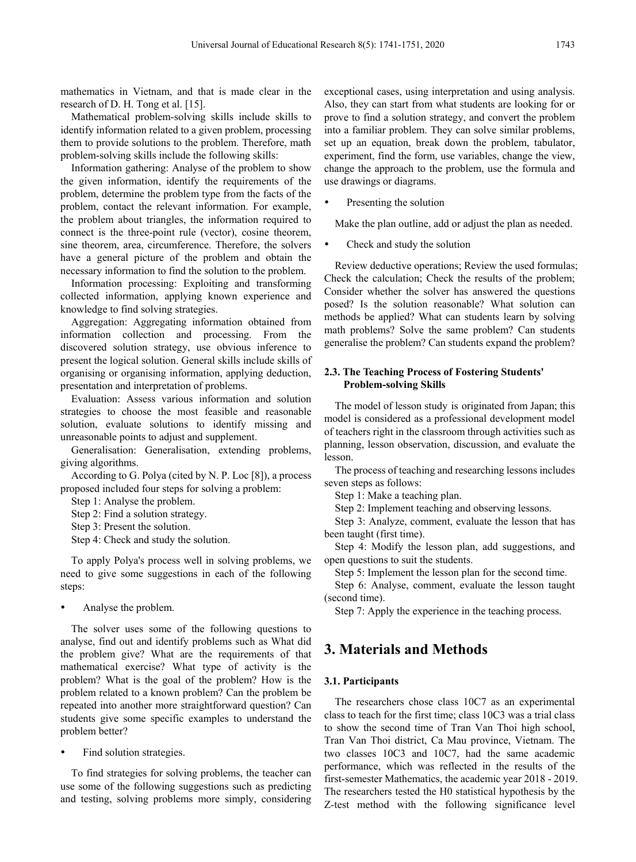mathematics in Vietnam, and that is made clear in the research of D. H. Tong et al. [15].

Mathematical problem-solving skills include skills to identify information related to a given problem, processing them to provide solutions to the problem. Therefore, math problem-solving skills include the following skills:

Information gathering: Analyse of the problem to show the given information, identify the requirements of the problem, determine the problem type from the facts of the problem, contact the relevant information. For example, the problem about triangles, the information required to connect is the three-point rule (vector), cosine theorem, sine theorem, area, circumference. Therefore, the solvers have a general picture of the problem and obtain the necessary information to find the solution to the problem.

Information processing: Exploiting and transforming collected information, applying known experience and knowledge to find solving strategies.

Aggregation: Aggregating information obtained from information collection and processing. From the discovered solution strategy, use obvious inference to present the logical solution. General skills include skills of organising or organising information, applying deduction, presentation and interpretation of problems.

Evaluation: Assess various information and solution strategies to choose the most feasible and reasonable solution, evaluate solutions to identify missing and unreasonable points to adjust and supplement.

Generalisation: Generalisation, extending problems, giving algorithms.

According to G. Polya (cited by N. P. Loc [8]), a process proposed included four steps for solving a problem:

Step 1: Analyse the problem.

Step 2: Find a solution strategy.

Step 3: Present the solution.

Step 4: Check and study the solution.

To apply Polya's process well in solving problems, we need to give some suggestions in each of the following steps:

Analyse the problem.

The solver uses some of the following questions to analyse, find out and identify problems such as What did the problem give? What are the requirements of that mathematical exercise? What type of activity is the problem? What is the goal of the problem? How is the problem related to a known problem? Can the problem be repeated into another more straightforward question? Can students give some specific examples to understand the problem better?

Find solution strategies.

To find strategies for solving problems, the teacher can use some of the following suggestions such as predicting and testing, solving problems more simply, considering exceptional cases, using interpretation and using analysis. Also, they can start from what students are looking for or prove to find a solution strategy, and convert the problem into a familiar problem. They can solve similar problems, set up an equation, break down the problem, tabulator, experiment, find the form, use variables, change the view, change the approach to the problem, use the formula and use drawings or diagrams.

Presenting the solution

Make the plan outline, add or adjust the plan as needed.

• Check and study the solution

Review deductive operations; Review the used formulas; Check the calculation; Check the results of the problem; Consider whether the solver has answered the questions posed? Is the solution reasonable? What solution can methods be applied? What can students learn by solving math problems? Solve the same problem? Can students generalise the problem? Can students expand the problem?

## **2.3. The Teaching Process of Fostering Students' Problem-solving Skills**

The model of lesson study is originated from Japan; this model is considered as a professional development model of teachers right in the classroom through activities such as planning, lesson observation, discussion, and evaluate the lesson.

The process of teaching and researching lessons includes seven steps as follows:

Step 1: Make a teaching plan.

Step 2: Implement teaching and observing lessons.

Step 3: Analyze, comment, evaluate the lesson that has been taught (first time).

Step 4: Modify the lesson plan, add suggestions, and open questions to suit the students.

Step 5: Implement the lesson plan for the second time.

Step 6: Analyse, comment, evaluate the lesson taught (second time).

Step 7: Apply the experience in the teaching process.

# **3. Materials and Methods**

## **3.1. Participants**

The researchers chose class 10C7 as an experimental class to teach for the first time; class 10C3 was a trial class to show the second time of Tran Van Thoi high school, Tran Van Thoi district, Ca Mau province, Vietnam. The two classes 10C3 and 10C7, had the same academic performance, which was reflected in the results of the first-semester Mathematics, the academic year 2018 - 2019. The researchers tested the H0 statistical hypothesis by the Z-test method with the following significance level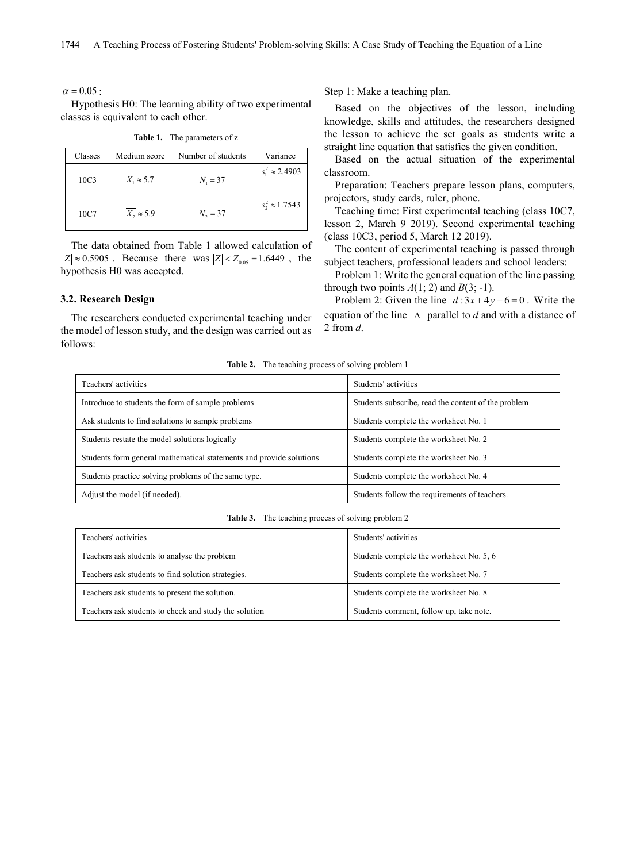$\alpha = 0.05$ :

Hypothesis H0: The learning ability of two experimental classes is equivalent to each other.

| Classes          | Medium score      | Number of students | Variance               |
|------------------|-------------------|--------------------|------------------------|
| 10C <sub>3</sub> | $X_1 \approx 5.7$ | $N_1 = 37$         | $s_1^2 \approx 2.4903$ |
| 10C7             | $X_2 \approx 5.9$ | $N_2 = 37$         | $s_2^2 \approx 1.7543$ |

**Table 1.** The parameters of z

The data obtained from Table 1 allowed calculation of  $|Z| \approx 0.5905$ . Because there was  $|Z| < Z_{0.05} = 1.6449$ , the hypothesis H0 was accepted.

### **3.2. Research Design**

The researchers conducted experimental teaching under the model of lesson study, and the design was carried out as follows:

Step 1: Make a teaching plan.

Based on the objectives of the lesson, including knowledge, skills and attitudes, the researchers designed the lesson to achieve the set goals as students write a straight line equation that satisfies the given condition.

Based on the actual situation of the experimental classroom.

Preparation: Teachers prepare lesson plans, computers, projectors, study cards, ruler, phone.

Teaching time: First experimental teaching (class 10C7, lesson 2, March 9 2019). Second experimental teaching (class 10C3, period 5, March 12 2019).

The content of experimental teaching is passed through subject teachers, professional leaders and school leaders:

Problem 1: Write the general equation of the line passing through two points  $A(1; 2)$  and  $B(3; -1)$ .

Problem 2: Given the line  $d: 3x + 4y - 6 = 0$ . Write the equation of the line ∆ parallel to *d* and with a distance of 2 from *d*.

**Table 2.** The teaching process of solving problem 1

| Teachers' activities                                                | Students' activities                                |
|---------------------------------------------------------------------|-----------------------------------------------------|
| Introduce to students the form of sample problems                   | Students subscribe, read the content of the problem |
| Ask students to find solutions to sample problems                   | Students complete the worksheet No. 1               |
| Students restate the model solutions logically                      | Students complete the worksheet No. 2               |
| Students form general mathematical statements and provide solutions | Students complete the worksheet No. 3               |
| Students practice solving problems of the same type.                | Students complete the worksheet No. 4               |
| Adjust the model (if needed).                                       | Students follow the requirements of teachers.       |

| Table 3.<br>The teaching process of solving problem 2 |  |  |
|-------------------------------------------------------|--|--|
|-------------------------------------------------------|--|--|

| Teachers' activities                                  | Students' activities                     |
|-------------------------------------------------------|------------------------------------------|
| Teachers ask students to analyse the problem          | Students complete the worksheet No. 5, 6 |
| Teachers ask students to find solution strategies.    | Students complete the worksheet No. 7    |
| Teachers ask students to present the solution.        | Students complete the worksheet No. 8    |
| Teachers ask students to check and study the solution | Students comment, follow up, take note.  |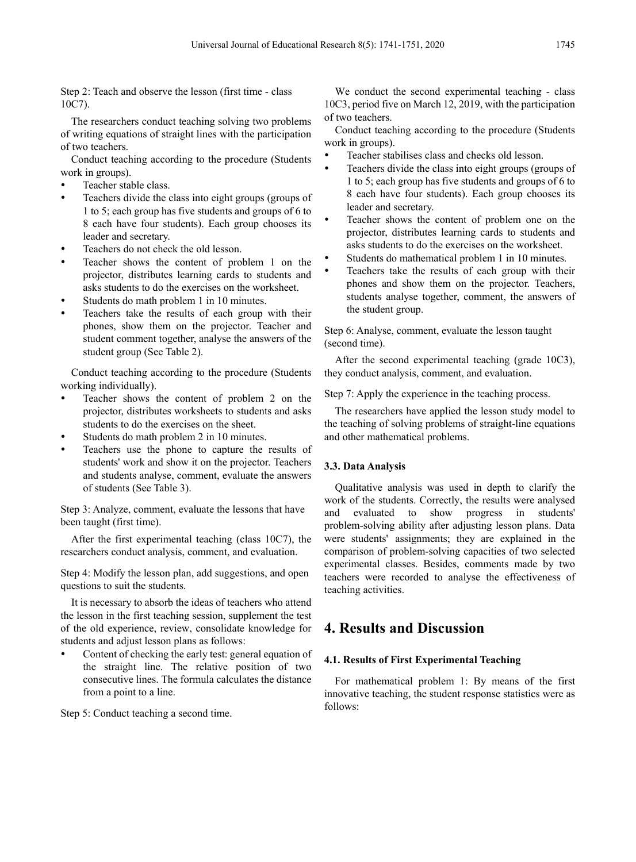Step 2: Teach and observe the lesson (first time - class 10C7).

The researchers conduct teaching solving two problems of writing equations of straight lines with the participation of two teachers.

Conduct teaching according to the procedure (Students work in groups).

- Teacher stable class.
- Teachers divide the class into eight groups (groups of 1 to 5; each group has five students and groups of 6 to 8 each have four students). Each group chooses its leader and secretary.
- Teachers do not check the old lesson.
- Teacher shows the content of problem 1 on the projector, distributes learning cards to students and asks students to do the exercises on the worksheet.
- Students do math problem 1 in 10 minutes.
- Teachers take the results of each group with their phones, show them on the projector. Teacher and student comment together, analyse the answers of the student group (See Table 2).

Conduct teaching according to the procedure (Students working individually).

- Teacher shows the content of problem 2 on the projector, distributes worksheets to students and asks students to do the exercises on the sheet.
- Students do math problem 2 in 10 minutes.
- Teachers use the phone to capture the results of students' work and show it on the projector. Teachers and students analyse, comment, evaluate the answers of students (See Table 3).

Step 3: Analyze, comment, evaluate the lessons that have been taught (first time).

After the first experimental teaching (class 10C7), the researchers conduct analysis, comment, and evaluation.

Step 4: Modify the lesson plan, add suggestions, and open questions to suit the students.

It is necessary to absorb the ideas of teachers who attend the lesson in the first teaching session, supplement the test of the old experience, review, consolidate knowledge for students and adjust lesson plans as follows:

 Content of checking the early test: general equation of the straight line. The relative position of two consecutive lines. The formula calculates the distance from a point to a line.

Step 5: Conduct teaching a second time.

We conduct the second experimental teaching - class 10C3, period five on March 12, 2019, with the participation of two teachers.

Conduct teaching according to the procedure (Students work in groups).

- Teacher stabilises class and checks old lesson.
- Teachers divide the class into eight groups (groups of 1 to 5; each group has five students and groups of 6 to 8 each have four students). Each group chooses its leader and secretary.
- Teacher shows the content of problem one on the projector, distributes learning cards to students and asks students to do the exercises on the worksheet.
- Students do mathematical problem 1 in 10 minutes.
- Teachers take the results of each group with their phones and show them on the projector. Teachers, students analyse together, comment, the answers of the student group.

Step 6: Analyse, comment, evaluate the lesson taught (second time).

After the second experimental teaching (grade 10C3), they conduct analysis, comment, and evaluation.

Step 7: Apply the experience in the teaching process.

The researchers have applied the lesson study model to the teaching of solving problems of straight-line equations and other mathematical problems.

## **3.3. Data Analysis**

Qualitative analysis was used in depth to clarify the work of the students. Correctly, the results were analysed and evaluated to show progress in students' problem-solving ability after adjusting lesson plans. Data were students' assignments; they are explained in the comparison of problem-solving capacities of two selected experimental classes. Besides, comments made by two teachers were recorded to analyse the effectiveness of teaching activities.

# **4. Results and Discussion**

## **4.1. Results of First Experimental Teaching**

For mathematical problem 1: By means of the first innovative teaching, the student response statistics were as follows: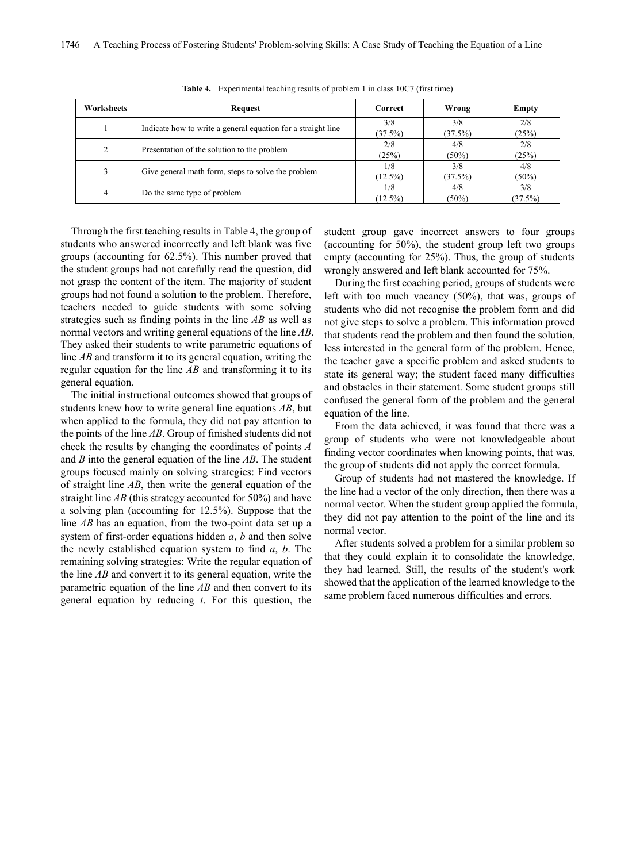| <b>Worksheets</b> | Request                                                      | Correct    | Wrong    | Empty    |
|-------------------|--------------------------------------------------------------|------------|----------|----------|
|                   | Indicate how to write a general equation for a straight line | 3/8        | 3/8      | 2/8      |
|                   |                                                              | (37.5%)    | (37.5%)  | (25%)    |
| 2                 | Presentation of the solution to the problem                  | 2/8        | 4/8      | 2/8      |
|                   |                                                              | (25%)      | $(50\%)$ | (25%)    |
| 3                 | Give general math form, steps to solve the problem           | 1/8        | 3/8      | 4/8      |
|                   |                                                              | $(12.5\%)$ | (37.5%)  | $(50\%)$ |
| 4                 | Do the same type of problem                                  | 1/8        | 4/8      | 3/8      |
|                   |                                                              | $(12.5\%)$ | $(50\%)$ | (37.5%)  |

**Table 4.** Experimental teaching results of problem 1 in class 10C7 (first time)

Through the first teaching results in Table 4, the group of students who answered incorrectly and left blank was five groups (accounting for 62.5%). This number proved that the student groups had not carefully read the question, did not grasp the content of the item. The majority of student groups had not found a solution to the problem. Therefore, teachers needed to guide students with some solving strategies such as finding points in the line *AB* as well as normal vectors and writing general equations of the line *AB*. They asked their students to write parametric equations of line *AB* and transform it to its general equation, writing the regular equation for the line *AB* and transforming it to its general equation.

The initial instructional outcomes showed that groups of students knew how to write general line equations *AB*, but when applied to the formula, they did not pay attention to the points of the line *AB*. Group of finished students did not check the results by changing the coordinates of points *A*  and *B* into the general equation of the line *AB*. The student groups focused mainly on solving strategies: Find vectors of straight line *AB*, then write the general equation of the straight line *AB* (this strategy accounted for 50%) and have a solving plan (accounting for 12.5%). Suppose that the line *AB* has an equation, from the two-point data set up a system of first-order equations hidden *a*, *b* and then solve the newly established equation system to find *a*, *b*. The remaining solving strategies: Write the regular equation of the line *AB* and convert it to its general equation, write the parametric equation of the line *AB* and then convert to its general equation by reducing *t*. For this question, the

student group gave incorrect answers to four groups (accounting for 50%), the student group left two groups empty (accounting for 25%). Thus, the group of students wrongly answered and left blank accounted for 75%.

During the first coaching period, groups of students were left with too much vacancy (50%), that was, groups of students who did not recognise the problem form and did not give steps to solve a problem. This information proved that students read the problem and then found the solution, less interested in the general form of the problem. Hence, the teacher gave a specific problem and asked students to state its general way; the student faced many difficulties and obstacles in their statement. Some student groups still confused the general form of the problem and the general equation of the line.

From the data achieved, it was found that there was a group of students who were not knowledgeable about finding vector coordinates when knowing points, that was, the group of students did not apply the correct formula.

Group of students had not mastered the knowledge. If the line had a vector of the only direction, then there was a normal vector. When the student group applied the formula, they did not pay attention to the point of the line and its normal vector.

After students solved a problem for a similar problem so that they could explain it to consolidate the knowledge, they had learned. Still, the results of the student's work showed that the application of the learned knowledge to the same problem faced numerous difficulties and errors.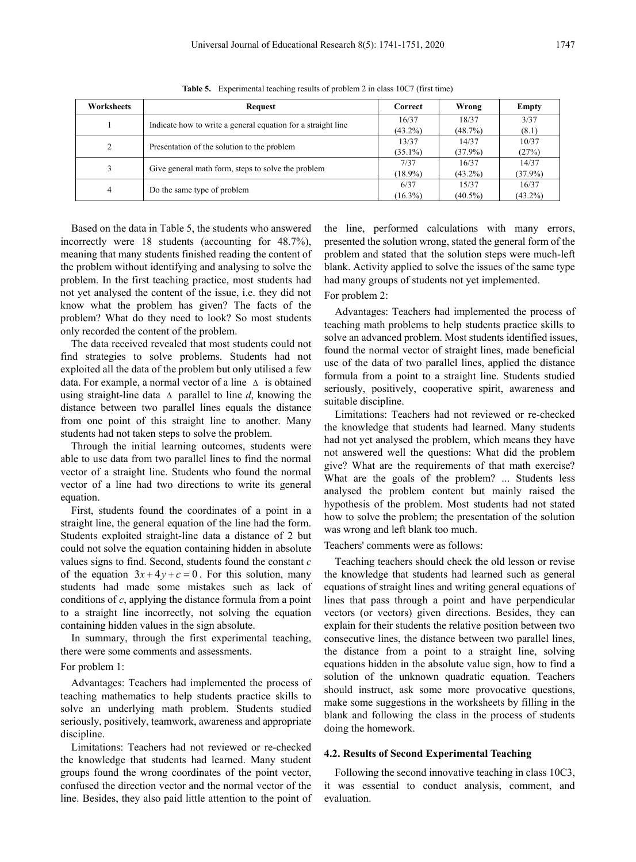|--|--|--|--|--|

| Worksheets | Request                                                      | Correct    | Wrong      | Empty      |
|------------|--------------------------------------------------------------|------------|------------|------------|
|            | Indicate how to write a general equation for a straight line | 16/37      | 18/37      | 3/37       |
|            |                                                              | $(43.2\%)$ | (48.7%)    | (8.1)      |
| 2          | Presentation of the solution to the problem                  | 13/37      | 14/37      | 10/37      |
|            |                                                              | $(35.1\%)$ | $(37.9\%)$ | (27%)      |
| 3          | Give general math form, steps to solve the problem           | 7/37       | 16/37      | 14/37      |
|            |                                                              | $(18.9\%)$ | $(43.2\%)$ | $(37.9\%)$ |
| 4          | Do the same type of problem                                  | 6/37       | 15/37      | 16/37      |
|            |                                                              | $(16.3\%)$ | $(40.5\%)$ | $(43.2\%)$ |

**Table 5.** Experimental teaching results of problem 2 in class 10C7 (first time)

Based on the data in Table 5, the students who answered incorrectly were 18 students (accounting for 48.7%), meaning that many students finished reading the content of the problem without identifying and analysing to solve the problem. In the first teaching practice, most students had not yet analysed the content of the issue, i.e. they did not know what the problem has given? The facts of the problem? What do they need to look? So most students only recorded the content of the problem.

The data received revealed that most students could not find strategies to solve problems. Students had not exploited all the data of the problem but only utilised a few data. For example, a normal vector of a line ∆ is obtained using straight-line data ∆ parallel to line *d*, knowing the distance between two parallel lines equals the distance from one point of this straight line to another. Many students had not taken steps to solve the problem.

Through the initial learning outcomes, students were able to use data from two parallel lines to find the normal vector of a straight line. Students who found the normal vector of a line had two directions to write its general equation.

First, students found the coordinates of a point in a straight line, the general equation of the line had the form. Students exploited straight-line data a distance of 2 but could not solve the equation containing hidden in absolute values signs to find. Second, students found the constant *c* of the equation  $3x+4y+c=0$ . For this solution, many students had made some mistakes such as lack of conditions of *c*, applying the distance formula from a point to a straight line incorrectly, not solving the equation containing hidden values in the sign absolute.

In summary, through the first experimental teaching, there were some comments and assessments.

#### For problem 1:

Advantages: Teachers had implemented the process of teaching mathematics to help students practice skills to solve an underlying math problem. Students studied seriously, positively, teamwork, awareness and appropriate discipline.

Limitations: Teachers had not reviewed or re-checked the knowledge that students had learned. Many student groups found the wrong coordinates of the point vector, confused the direction vector and the normal vector of the line. Besides, they also paid little attention to the point of the line, performed calculations with many errors, presented the solution wrong, stated the general form of the problem and stated that the solution steps were much-left blank. Activity applied to solve the issues of the same type had many groups of students not yet implemented.

## For problem 2:

Advantages: Teachers had implemented the process of teaching math problems to help students practice skills to solve an advanced problem. Most students identified issues, found the normal vector of straight lines, made beneficial use of the data of two parallel lines, applied the distance formula from a point to a straight line. Students studied seriously, positively, cooperative spirit, awareness and suitable discipline.

Limitations: Teachers had not reviewed or re-checked the knowledge that students had learned. Many students had not yet analysed the problem, which means they have not answered well the questions: What did the problem give? What are the requirements of that math exercise? What are the goals of the problem? ... Students less analysed the problem content but mainly raised the hypothesis of the problem. Most students had not stated how to solve the problem; the presentation of the solution was wrong and left blank too much.

Teachers' comments were as follows:

Teaching teachers should check the old lesson or revise the knowledge that students had learned such as general equations of straight lines and writing general equations of lines that pass through a point and have perpendicular vectors (or vectors) given directions. Besides, they can explain for their students the relative position between two consecutive lines, the distance between two parallel lines, the distance from a point to a straight line, solving equations hidden in the absolute value sign, how to find a solution of the unknown quadratic equation. Teachers should instruct, ask some more provocative questions, make some suggestions in the worksheets by filling in the blank and following the class in the process of students doing the homework.

#### **4.2. Results of Second Experimental Teaching**

Following the second innovative teaching in class 10C3, it was essential to conduct analysis, comment, and evaluation.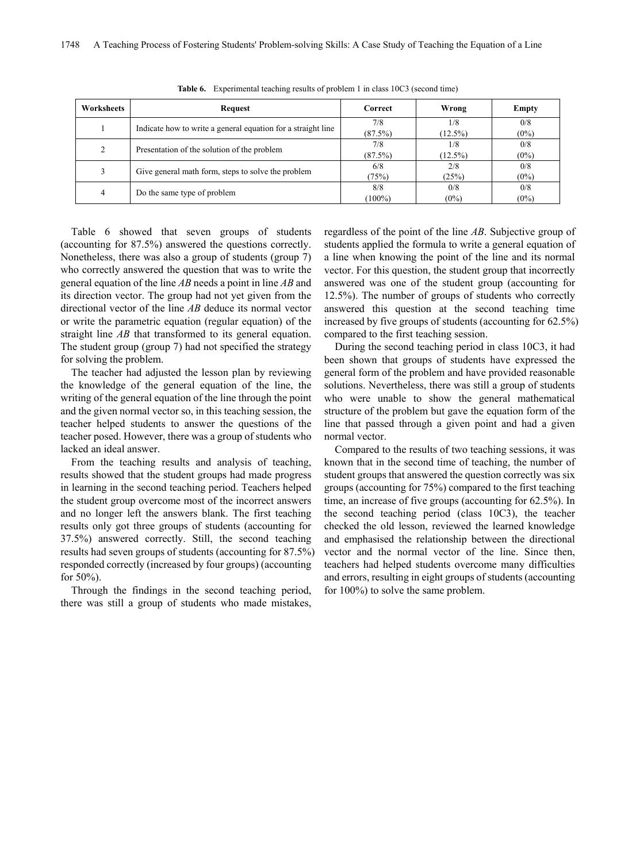| Worksheets | Request                                                      | <b>Correct</b> | Wrong      | Empty   |
|------------|--------------------------------------------------------------|----------------|------------|---------|
|            | Indicate how to write a general equation for a straight line | 7/8            | 1/8        | 0/8     |
|            |                                                              | (87.5%)        | $(12.5\%)$ | $(0\%)$ |
|            | Presentation of the solution of the problem                  | 7/8            | 1/8        | 0/8     |
|            |                                                              | (87.5%)        | $(12.5\%)$ | $(0\%)$ |
| 3          | Give general math form, steps to solve the problem           | 6/8            | 2/8        | 0/8     |
|            |                                                              | (75%)          | (25%)      | $(0\%)$ |
| 4          | Do the same type of problem                                  | 8/8            | 0/8        | 0/8     |
|            |                                                              | $(100\%)$      | $(0\%)$    | $(0\%)$ |

**Table 6.** Experimental teaching results of problem 1 in class 10C3 (second time)

Table 6 showed that seven groups of students (accounting for 87.5%) answered the questions correctly. Nonetheless, there was also a group of students (group 7) who correctly answered the question that was to write the general equation of the line *AB* needs a point in line *AB* and its direction vector. The group had not yet given from the directional vector of the line *AB* deduce its normal vector or write the parametric equation (regular equation) of the straight line *AB* that transformed to its general equation. The student group (group 7) had not specified the strategy for solving the problem.

The teacher had adjusted the lesson plan by reviewing the knowledge of the general equation of the line, the writing of the general equation of the line through the point and the given normal vector so, in this teaching session, the teacher helped students to answer the questions of the teacher posed. However, there was a group of students who lacked an ideal answer.

From the teaching results and analysis of teaching, results showed that the student groups had made progress in learning in the second teaching period. Teachers helped the student group overcome most of the incorrect answers and no longer left the answers blank. The first teaching results only got three groups of students (accounting for 37.5%) answered correctly. Still, the second teaching results had seven groups of students (accounting for 87.5%) responded correctly (increased by four groups) (accounting for 50%).

Through the findings in the second teaching period, there was still a group of students who made mistakes, regardless of the point of the line *AB*. Subjective group of students applied the formula to write a general equation of a line when knowing the point of the line and its normal vector. For this question, the student group that incorrectly answered was one of the student group (accounting for 12.5%). The number of groups of students who correctly answered this question at the second teaching time increased by five groups of students (accounting for 62.5%) compared to the first teaching session.

During the second teaching period in class 10C3, it had been shown that groups of students have expressed the general form of the problem and have provided reasonable solutions. Nevertheless, there was still a group of students who were unable to show the general mathematical structure of the problem but gave the equation form of the line that passed through a given point and had a given normal vector.

Compared to the results of two teaching sessions, it was known that in the second time of teaching, the number of student groups that answered the question correctly was six groups (accounting for 75%) compared to the first teaching time, an increase of five groups (accounting for 62.5%). In the second teaching period (class 10C3), the teacher checked the old lesson, reviewed the learned knowledge and emphasised the relationship between the directional vector and the normal vector of the line. Since then, teachers had helped students overcome many difficulties and errors, resulting in eight groups of students (accounting for 100%) to solve the same problem.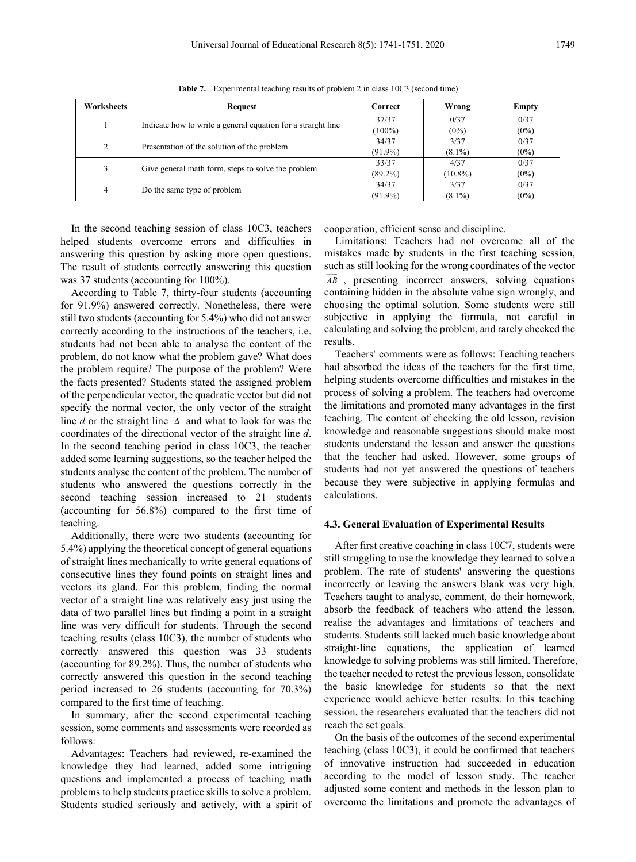| Worksheets | Request                                                      | Correct    | Wrong      | Empty   |
|------------|--------------------------------------------------------------|------------|------------|---------|
|            | Indicate how to write a general equation for a straight line | 37/37      | 0/37       | 0/37    |
|            |                                                              | $(100\%)$  | $(0\%)$    | $(0\%)$ |
| 2          | Presentation of the solution of the problem                  | 34/37      | 3/37       | 0/37    |
|            |                                                              | $(91.9\%)$ | $(8.1\%)$  | $(0\%)$ |
| 3          |                                                              | 33/37      | 4/37       | 0/37    |
|            | Give general math form, steps to solve the problem           | $(89.2\%)$ | $(10.8\%)$ | $(0\%)$ |
| 4          | Do the same type of problem                                  | 34/37      | 3/37       | 0/37    |
|            |                                                              | $(91.9\%)$ | $(8.1\%)$  | $(0\%)$ |

**Table 7.** Experimental teaching results of problem 2 in class 10C3 (second time)

In the second teaching session of class 10C3, teachers helped students overcome errors and difficulties in answering this question by asking more open questions. The result of students correctly answering this question was 37 students (accounting for 100%).

According to Table 7, thirty-four students (accounting for 91.9%) answered correctly. Nonetheless, there were still two students (accounting for 5.4%) who did not answer correctly according to the instructions of the teachers, i.e. students had not been able to analyse the content of the problem, do not know what the problem gave? What does the problem require? The purpose of the problem? Were the facts presented? Students stated the assigned problem of the perpendicular vector, the quadratic vector but did not specify the normal vector, the only vector of the straight line *d* or the straight line ∆ and what to look for was the coordinates of the directional vector of the straight line *d*. In the second teaching period in class 10C3, the teacher added some learning suggestions, so the teacher helped the students analyse the content of the problem. The number of students who answered the questions correctly in the second teaching session increased to 21 students (accounting for 56.8%) compared to the first time of teaching.

Additionally, there were two students (accounting for 5.4%) applying the theoretical concept of general equations of straight lines mechanically to write general equations of consecutive lines they found points on straight lines and vectors its gland. For this problem, finding the normal vector of a straight line was relatively easy just using the data of two parallel lines but finding a point in a straight line was very difficult for students. Through the second teaching results (class 10C3), the number of students who correctly answered this question was 33 students (accounting for 89.2%). Thus, the number of students who correctly answered this question in the second teaching period increased to 26 students (accounting for 70.3%) compared to the first time of teaching.

In summary, after the second experimental teaching session, some comments and assessments were recorded as follows:

Advantages: Teachers had reviewed, re-examined the knowledge they had learned, added some intriguing questions and implemented a process of teaching math problems to help students practice skills to solve a problem. Students studied seriously and actively, with a spirit of cooperation, efficient sense and discipline.

Limitations: Teachers had not overcome all of the mistakes made by students in the first teaching session, such as still looking for the wrong coordinates of the vector  $\overline{AB}$ , presenting incorrect answers, solving equations containing hidden in the absolute value sign wrongly, and choosing the optimal solution. Some students were still subjective in applying the formula, not careful in calculating and solving the problem, and rarely checked the results.

Teachers' comments were as follows: Teaching teachers had absorbed the ideas of the teachers for the first time, helping students overcome difficulties and mistakes in the process of solving a problem. The teachers had overcome the limitations and promoted many advantages in the first teaching. The content of checking the old lesson, revision knowledge and reasonable suggestions should make most students understand the lesson and answer the questions that the teacher had asked. However, some groups of students had not yet answered the questions of teachers because they were subjective in applying formulas and calculations.

#### **4.3. General Evaluation of Experimental Results**

After first creative coaching in class 10C7, students were still struggling to use the knowledge they learned to solve a problem. The rate of students' answering the questions incorrectly or leaving the answers blank was very high. Teachers taught to analyse, comment, do their homework, absorb the feedback of teachers who attend the lesson, realise the advantages and limitations of teachers and students. Students still lacked much basic knowledge about straight-line equations, the application of learned knowledge to solving problems was still limited. Therefore, the teacher needed to retest the previous lesson, consolidate the basic knowledge for students so that the next experience would achieve better results. In this teaching session, the researchers evaluated that the teachers did not reach the set goals.

On the basis of the outcomes of the second experimental teaching (class 10C3), it could be confirmed that teachers of innovative instruction had succeeded in education according to the model of lesson study. The teacher adjusted some content and methods in the lesson plan to overcome the limitations and promote the advantages of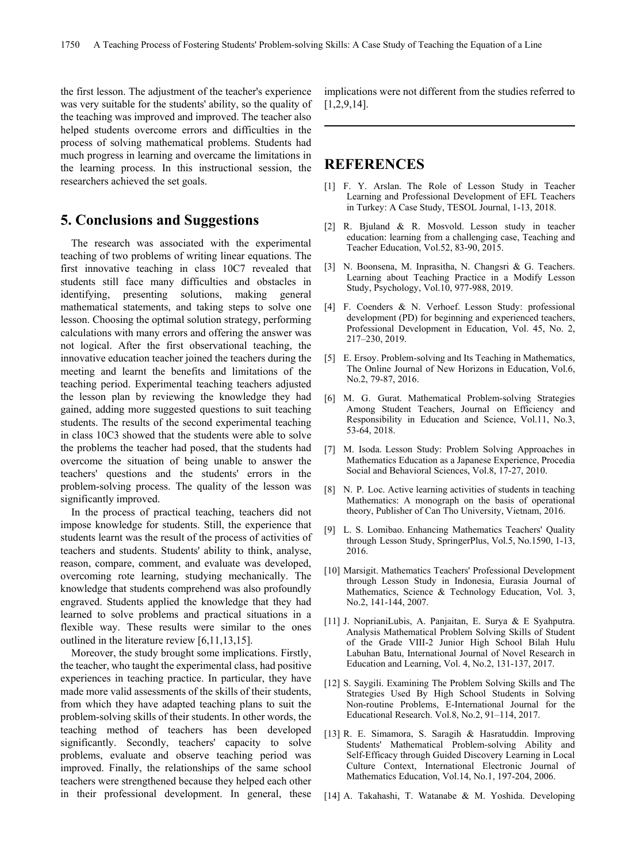the first lesson. The adjustment of the teacher's experience was very suitable for the students' ability, so the quality of the teaching was improved and improved. The teacher also helped students overcome errors and difficulties in the process of solving mathematical problems. Students had much progress in learning and overcame the limitations in the learning process. In this instructional session, the researchers achieved the set goals.

# **5. Conclusions and Suggestions**

The research was associated with the experimental teaching of two problems of writing linear equations. The first innovative teaching in class 10C7 revealed that students still face many difficulties and obstacles in identifying, presenting solutions, making general mathematical statements, and taking steps to solve one lesson. Choosing the optimal solution strategy, performing calculations with many errors and offering the answer was not logical. After the first observational teaching, the innovative education teacher joined the teachers during the meeting and learnt the benefits and limitations of the teaching period. Experimental teaching teachers adjusted the lesson plan by reviewing the knowledge they had gained, adding more suggested questions to suit teaching students. The results of the second experimental teaching in class 10C3 showed that the students were able to solve the problems the teacher had posed, that the students had overcome the situation of being unable to answer the teachers' questions and the students' errors in the problem-solving process. The quality of the lesson was significantly improved.

In the process of practical teaching, teachers did not impose knowledge for students. Still, the experience that students learnt was the result of the process of activities of teachers and students. Students' ability to think, analyse, reason, compare, comment, and evaluate was developed, overcoming rote learning, studying mechanically. The knowledge that students comprehend was also profoundly engraved. Students applied the knowledge that they had learned to solve problems and practical situations in a flexible way. These results were similar to the ones outlined in the literature review [6,11,13,15].

Moreover, the study brought some implications. Firstly, the teacher, who taught the experimental class, had positive experiences in teaching practice. In particular, they have made more valid assessments of the skills of their students, from which they have adapted teaching plans to suit the problem-solving skills of their students. In other words, the teaching method of teachers has been developed significantly. Secondly, teachers' capacity to solve problems, evaluate and observe teaching period was improved. Finally, the relationships of the same school teachers were strengthened because they helped each other in their professional development. In general, these implications were not different from the studies referred to [1,2,9,14].

## **REFERENCES**

- [1] F. Y. Arslan. The Role of Lesson Study in Teacher Learning and Professional Development of EFL Teachers in Turkey: A Case Study, TESOL Journal, 1-13, 2018.
- [2] R. Bjuland & R. Mosvold. Lesson study in teacher education: learning from a challenging case, Teaching and Teacher Education, Vol.52, 83-90, 2015.
- [3] N. Boonsena, M. Inprasitha, N. Changsri & G. Teachers. Learning about Teaching Practice in a Modify Lesson Study, Psychology, Vol.10, 977-988, 2019.
- [4] F. Coenders & N. Verhoef. Lesson Study: professional development (PD) for beginning and experienced teachers, Professional Development in Education, Vol. 45, No. 2, 217–230, 2019.
- [5] E. Ersoy. Problem-solving and Its Teaching in Mathematics, The Online Journal of New Horizons in Education, Vol.6, No.2, 79-87, 2016.
- [6] M. G. Gurat. Mathematical Problem-solving Strategies Among Student Teachers, Journal on Efficiency and Responsibility in Education and Science, Vol.11, No.3, 53-64, 2018.
- [7] M. Isoda. Lesson Study: Problem Solving Approaches in Mathematics Education as a Japanese Experience, Procedia Social and Behavioral Sciences, Vol.8, 17-27, 2010.
- [8] N. P. Loc. Active learning activities of students in teaching Mathematics: A monograph on the basis of operational theory, Publisher of Can Tho University, Vietnam, 2016.
- [9] L. S. Lomibao. Enhancing Mathematics Teachers' Quality through Lesson Study, SpringerPlus, Vol.5, No.1590, 1-13, 2016.
- [10] Marsigit. Mathematics Teachers' Professional Development through Lesson Study in Indonesia, Eurasia Journal of Mathematics, Science & Technology Education, Vol. 3, No.2, 141-144, 2007.
- [11] J. NoprianiLubis, A. Panjaitan, E. Surya & E Syahputra. Analysis Mathematical Problem Solving Skills of Student of the Grade VIII-2 Junior High School Bilah Hulu Labuhan Batu, International Journal of Novel Research in Education and Learning, Vol. 4, No.2, 131-137, 2017.
- [12] S. Saygili. Examining The Problem Solving Skills and The Strategies Used By High School Students in Solving Non-routine Problems, E-International Journal for the Educational Research. Vol.8, No.2, 91–114, 2017.
- [13] R. E. Simamora, S. Saragih & Hasratuddin. Improving Students' Mathematical Problem-solving Ability and Self-Efficacy through Guided Discovery Learning in Local Culture Context, International Electronic Journal of Mathematics Education, Vol.14, No.1, 197-204, 2006.
- [14] A. Takahashi, T. Watanabe & M. Yoshida. Developing